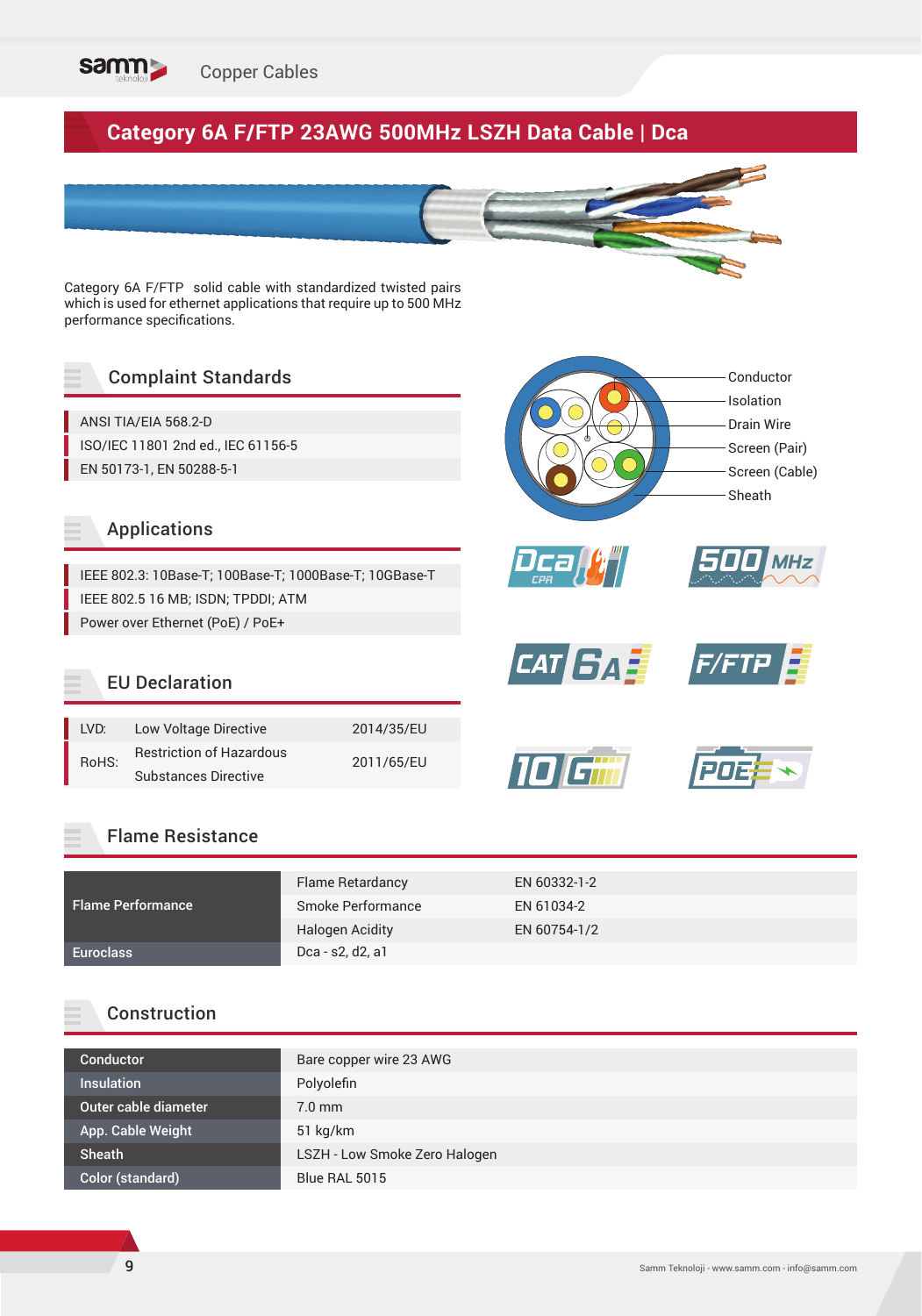

# **Category 6A F/FTP 23AWG 500MHz LSZH Data Cable | Dca**



*Dca CPR*

**10** 

Category 6A F/FTP solid cable with standardized twisted pairs which is used for ethernet applications that require up to 500 MHz performance specifications.

## Complaint Standards

ANSI TIA/EIA 568.2-D ISO/IEC 11801 2nd ed., IEC 61156-5 EN 50173-1, EN 50288-5-1

#### Applications

IEEE 802.3: 10Base-T; 100Base-T; 1000Base-T; 10GBase-T IEEE 802.5 16 MB; ISDN; TPDDI; ATM Power over Ethernet (PoE) / PoE+

#### EU Declaration

| LVD:  | Low Voltage Directive           | 2014/35/EU |  |
|-------|---------------------------------|------------|--|
| RoHS: | <b>Restriction of Hazardous</b> | 2011/65/EU |  |
|       | <b>Substances Directive</b>     |            |  |

#### Flame Resistance

|                          | Flame Retardancy       | EN 60332-1-2 |
|--------------------------|------------------------|--------------|
| <b>Flame Performance</b> | Smoke Performance      | EN 61034-2   |
|                          | <b>Halogen Acidity</b> | EN 60754-1/2 |
| <b>Euroclass</b>         | Dca - s2, d2, a1       |              |

#### Construction

| Conductor            | Bare copper wire 23 AWG       |
|----------------------|-------------------------------|
| <b>Insulation</b>    | Polyolefin                    |
| Outer cable diameter | $7.0$ mm                      |
| App. Cable Weight    | $51$ kg/km                    |
| <b>Sheath</b>        | LSZH - Low Smoke Zero Halogen |
| Color (standard)     | Blue RAL 5015                 |

Conductor Isolation Drain Wire Screen (Pair) Screen (Cable)

Sheath

*CAT <b>GAT F/FTP* 

*500 MHz*